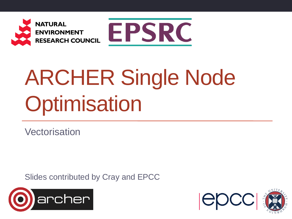



# ARCHER Single Node **Optimisation**

**Vectorisation** 

Slides contributed by Cray and EPCC



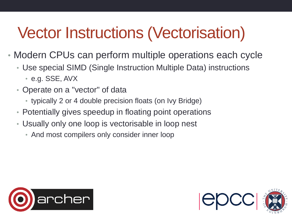## Vector Instructions (Vectorisation)

- Modern CPUs can perform multiple operations each cycle
	- Use special SIMD (Single Instruction Multiple Data) instructions
		- e.g. SSE, AVX
	- Operate on a "vector" of data
		- typically 2 or 4 double precision floats (on Ivy Bridge)
	- Potentially gives speedup in floating point operations
	- Usually only one loop is vectorisable in loop nest
		- And most compilers only consider inner loop



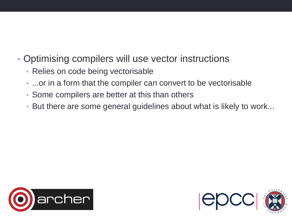- Optimising compilers will use vector instructions
	- Relies on code being vectorisable
	- ...or in a form that the compiler can convert to be vectorisable
	- Some compilers are better at this than others
	- But there are some general guidelines about what is likely to work...



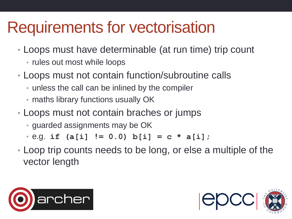#### Requirements for vectorisation

- Loops must have determinable (at run time) trip count
	- rules out most while loops
- Loops must not contain function/subroutine calls
	- unless the call can be inlined by the compiler
	- maths library functions usually OK
- Loops must not contain braches or jumps
	- guarded assignments may be OK
	- e.g. **if (a[i] != 0.0) b[i] = c \* a[i];**
- Loop trip counts needs to be long, or else a multiple of the vector length



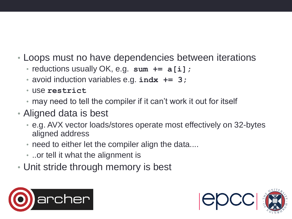- Loops must no have dependencies between iterations
	- reductions usually OK, e.g. **sum += a[i];**
	- avoid induction variables e.g. **indx += 3;**
	- use **restrict**
	- may need to tell the compiler if it can't work it out for itself
- Aligned data is best
	- e.g. AVX vector loads/stores operate most effectively on 32-bytes aligned address
	- need to either let the compiler align the data....
	- ..or tell it what the alignment is
- Unit stride through memory is best



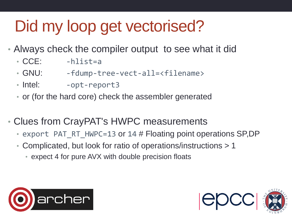# Did my loop get vectorised?

- Always check the compiler output to see what it did
	- CCE: -hlist=a
	- GNU: -fdump-tree-vect-all=<filename>
	- Intel: -opt-report3
	- or (for the hard core) check the assembler generated
- Clues from CrayPAT's HWPC measurements
	- export PAT RT HWPC=13 or 14 # Floating point operations SP,DP
	- Complicated, but look for ratio of operations/instructions > 1
		- expect 4 for pure AVX with double precision floats



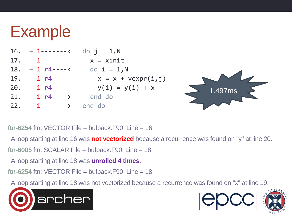#### Example

|     | 16. + 1-------< do j = 1,N     |                              |
|-----|--------------------------------|------------------------------|
| 17. | $\overline{1}$                 | $x = xinit$                  |
|     | 18. + 1 $n$ 4 ----< do i = 1,N |                              |
| 19. | 1 <sub>1</sub>                 | $x = x + \text{vexpr}(i, j)$ |
|     | 20. 1 r4                       | $y(i) = y(i) + x$            |
| 21. | $1 r4---&$ end do              |                              |
| 22. | $1$ -------> end do            |                              |



**ftn-6254** ftn: VECTOR File = bufpack.F90, Line = 16

A loop starting at line 16 was **not vectorized** because a recurrence was found on "y" at line 20.

 $ftn-6005$  ftn: SCALAR File = bufpack.F90, Line = 18

A loop starting at line 18 was **unrolled 4 times**.

rcher

**ftn-6254** ftn: VECTOR File = bufpack.F90, Line = 18

A loop starting at line 18 was not vectorized because a recurrence was found on "x" at line 19.



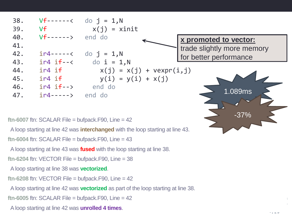

 $ftn-6007$  ftn: SCALAR File = bufpack.F90, Line =  $42$ 

A loop starting at line 42 was **interchanged** with the loop starting at line 43.

**ftn-6004** ftn: SCALAR File = bufpack.F90, Line = 43

A loop starting at line 43 was **fused** with the loop starting at line 38.

**ftn-6204** ftn: VECTOR File = bufpack.F90, Line = 38

A loop starting at line 38 was **vectorized**.

 $ftn-6208$  ftn: VECTOR File = bufpack.F90, Line =  $42$ 

A loop starting at line 42 was **vectorized** as part of the loop starting at line 38.

 $ftn-6005$  ftn: SCALAR File = bufpack.F90, Line =  $42$ 

A loop starting at line 42 was **unrolled 4 times**.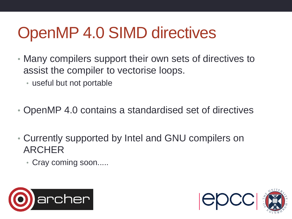## OpenMP 4.0 SIMD directives

- Many compilers support their own sets of directives to assist the compiler to vectorise loops.
	- useful but not portable
- OpenMP 4.0 contains a standardised set of directives
- Currently supported by Intel and GNU compilers on ARCHER
	- Cray coming soon.....



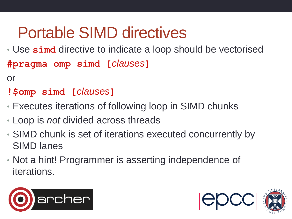#### Portable SIMD directives

- Use **simd** directive to indicate a loop should be vectorised **#pragma omp simd [***clauses***]**
- or
- **!\$omp simd [***clauses***]**
- Executes iterations of following loop in SIMD chunks
- Loop is *not* divided across threads
- SIMD chunk is set of iterations executed concurrently by SIMD lanes
- Not a hint! Programmer is asserting independence of iterations.